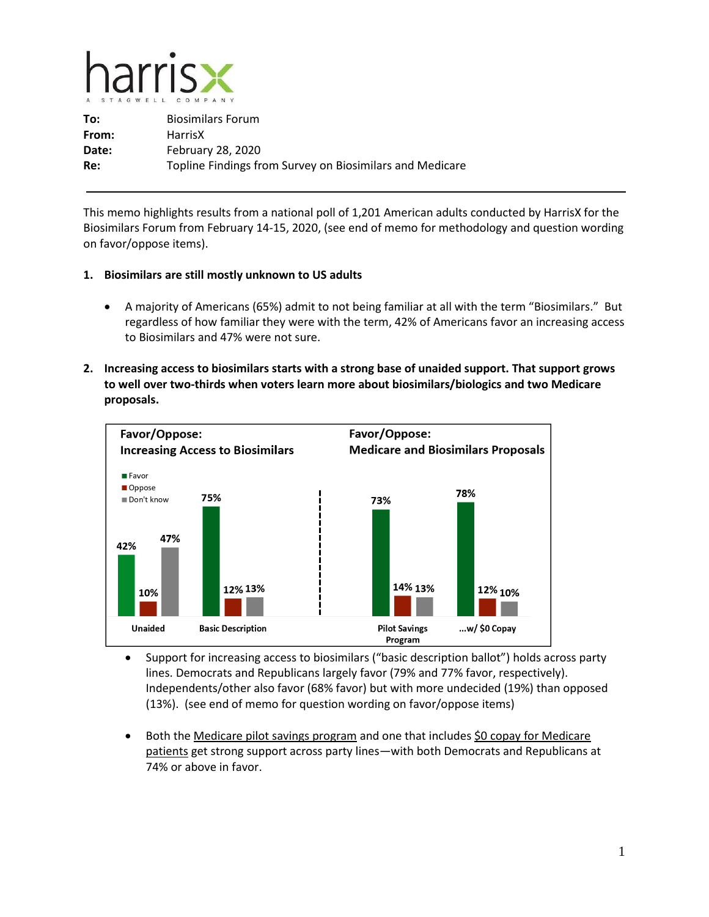

**To:** Biosimilars Forum **From:** HarrisX **Date:** February 28, 2020 **Re:** Topline Findings from Survey on Biosimilars and Medicare

This memo highlights results from a national poll of 1,201 American adults conducted by HarrisX for the Biosimilars Forum from February 14-15, 2020, (see end of memo for methodology and question wording on favor/oppose items).

- **1. Biosimilars are still mostly unknown to US adults**
	- A majority of Americans (65%) admit to not being familiar at all with the term "Biosimilars." But regardless of how familiar they were with the term, 42% of Americans favor an increasing access to Biosimilars and 47% were not sure.
- **2. Increasing access to biosimilars starts with a strong base of unaided support. That support grows to well over two-thirds when voters learn more about biosimilars/biologics and two Medicare proposals.**



- Support for increasing access to biosimilars ("basic description ballot") holds across party lines. Democrats and Republicans largely favor (79% and 77% favor, respectively). Independents/other also favor (68% favor) but with more undecided (19%) than opposed (13%). (see end of memo for question wording on favor/oppose items)
- Both the Medicare pilot savings program and one that includes \$0 copay for Medicare patients get strong support across party lines—with both Democrats and Republicans at 74% or above in favor.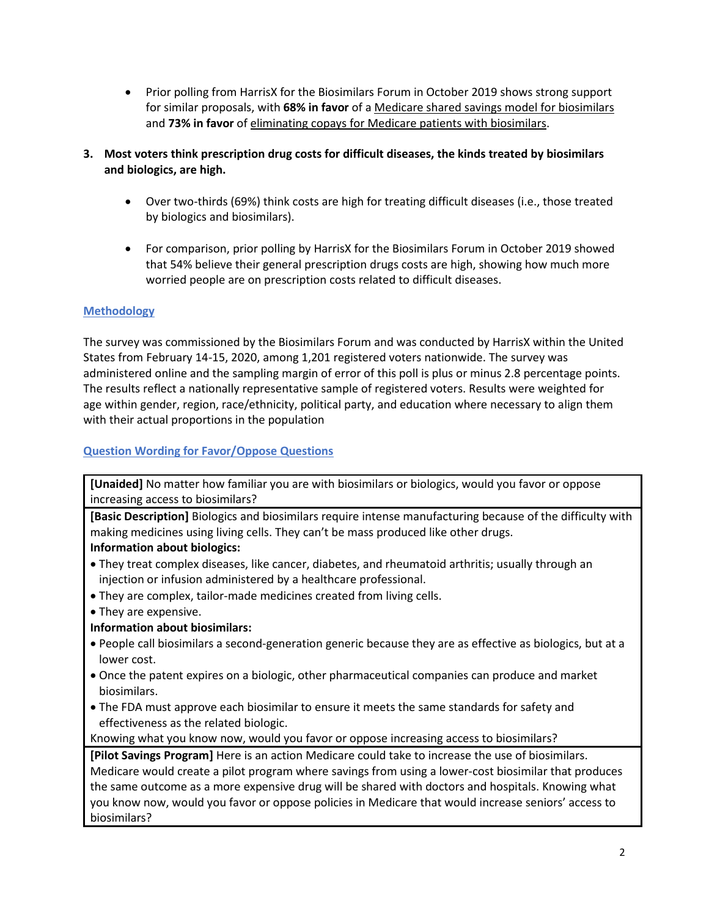- Prior polling from HarrisX for the Biosimilars Forum in October 2019 shows strong support for similar proposals, with **68% in favor** of a Medicare shared savings model for biosimilars and **73% in favor** of eliminating copays for Medicare patients with biosimilars.
- **3. Most voters think prescription drug costs for difficult diseases, the kinds treated by biosimilars and biologics, are high.**
	- Over two-thirds (69%) think costs are high for treating difficult diseases (i.e., those treated by biologics and biosimilars).
	- For comparison, prior polling by HarrisX for the Biosimilars Forum in October 2019 showed that 54% believe their general prescription drugs costs are high, showing how much more worried people are on prescription costs related to difficult diseases.

## **Methodology**

The survey was commissioned by the Biosimilars Forum and was conducted by HarrisX within the United States from February 14-15, 2020, among 1,201 registered voters nationwide. The survey was administered online and the sampling margin of error of this poll is plus or minus 2.8 percentage points. The results reflect a nationally representative sample of registered voters. Results were weighted for age within gender, region, race/ethnicity, political party, and education where necessary to align them with their actual proportions in the population

## **Question Wording for Favor/Oppose Questions**

**[Unaided]** No matter how familiar you are with biosimilars or biologics, would you favor or oppose increasing access to biosimilars?

**[Basic Description]** Biologics and biosimilars require intense manufacturing because of the difficulty with making medicines using living cells. They can't be mass produced like other drugs.

## **Information about biologics:**

- They treat complex diseases, like cancer, diabetes, and rheumatoid arthritis; usually through an injection or infusion administered by a healthcare professional.
- They are complex, tailor-made medicines created from living cells.
- They are expensive.
- **Information about biosimilars:**
- People call biosimilars a second-generation generic because they are as effective as biologics, but at a lower cost.
- Once the patent expires on a biologic, other pharmaceutical companies can produce and market biosimilars.
- The FDA must approve each biosimilar to ensure it meets the same standards for safety and effectiveness as the related biologic.

Knowing what you know now, would you favor or oppose increasing access to biosimilars?

**[Pilot Savings Program]** Here is an action Medicare could take to increase the use of biosimilars. Medicare would create a pilot program where savings from using a lower-cost biosimilar that produces the same outcome as a more expensive drug will be shared with doctors and hospitals. Knowing what you know now, would you favor or oppose policies in Medicare that would increase seniors' access to biosimilars?